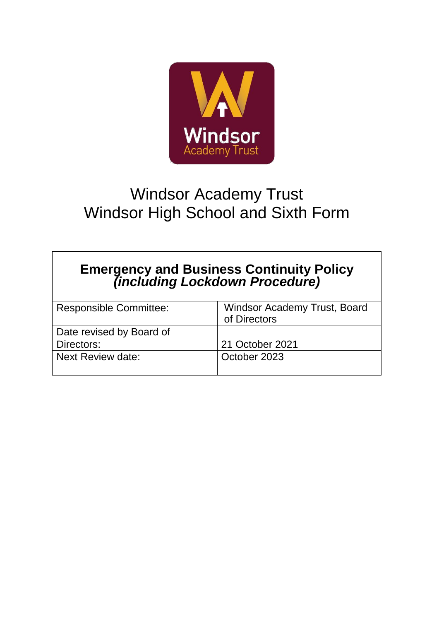

# Windsor Academy Trust Windsor High School and Sixth Form

## **Emergency and Business Continuity Policy** *(including Lockdown Procedure)*

| <b>Windsor Academy Trust, Board</b><br>of Directors |
|-----------------------------------------------------|
|                                                     |
| 21 October 2021                                     |
| October 2023                                        |
|                                                     |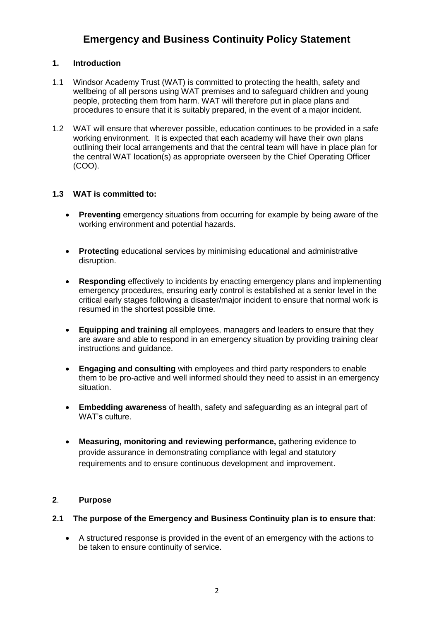### **Emergency and Business Continuity Policy Statement**

### **1. Introduction**

- 1.1 Windsor Academy Trust (WAT) is committed to protecting the health, safety and wellbeing of all persons using WAT premises and to safeguard children and young people, protecting them from harm. WAT will therefore put in place plans and procedures to ensure that it is suitably prepared, in the event of a major incident.
- 1.2 WAT will ensure that wherever possible, education continues to be provided in a safe working environment. It is expected that each academy will have their own plans outlining their local arrangements and that the central team will have in place plan for the central WAT location(s) as appropriate overseen by the Chief Operating Officer (COO).

### **1.3 WAT is committed to:**

- **Preventing** emergency situations from occurring for example by being aware of the working environment and potential hazards.
- **Protecting** educational services by minimising educational and administrative disruption.
- **Responding** effectively to incidents by enacting emergency plans and implementing emergency procedures, ensuring early control is established at a senior level in the critical early stages following a disaster/major incident to ensure that normal work is resumed in the shortest possible time.
- **Equipping and training** all employees, managers and leaders to ensure that they are aware and able to respond in an emergency situation by providing training clear instructions and guidance.
- **Engaging and consulting** with employees and third party responders to enable them to be pro-active and well informed should they need to assist in an emergency situation.
- **Embedding awareness** of health, safety and safeguarding as an integral part of WAT's culture.
- **Measuring, monitoring and reviewing performance, gathering evidence to** provide assurance in demonstrating compliance with legal and statutory requirements and to ensure continuous development and improvement.

### **2**. **Purpose**

### **2.1 The purpose of the Emergency and Business Continuity plan is to ensure that**:

 A structured response is provided in the event of an emergency with the actions to be taken to ensure continuity of service.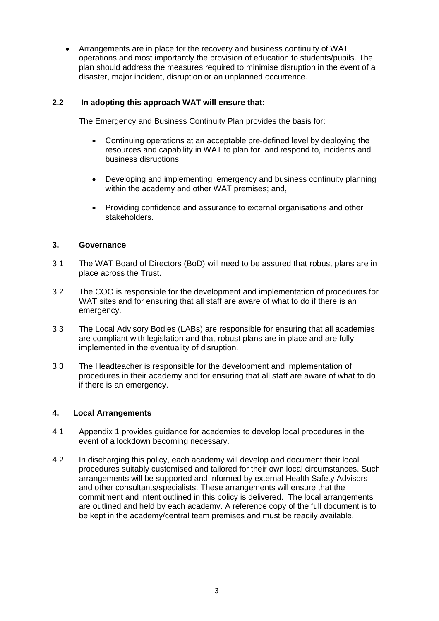Arrangements are in place for the recovery and business continuity of WAT operations and most importantly the provision of education to students/pupils. The plan should address the measures required to minimise disruption in the event of a disaster, major incident, disruption or an unplanned occurrence.

### **2.2 In adopting this approach WAT will ensure that:**

The Emergency and Business Continuity Plan provides the basis for:

- Continuing operations at an acceptable pre-defined level by deploying the resources and capability in WAT to plan for, and respond to, incidents and business disruptions.
- Developing and implementing emergency and business continuity planning within the academy and other WAT premises; and,
- Providing confidence and assurance to external organisations and other stakeholders.

### **3. Governance**

- 3.1 The WAT Board of Directors (BoD) will need to be assured that robust plans are in place across the Trust.
- 3.2 The COO is responsible for the development and implementation of procedures for WAT sites and for ensuring that all staff are aware of what to do if there is an emergency.
- 3.3 The Local Advisory Bodies (LABs) are responsible for ensuring that all academies are compliant with legislation and that robust plans are in place and are fully implemented in the eventuality of disruption.
- 3.3 The Headteacher is responsible for the development and implementation of procedures in their academy and for ensuring that all staff are aware of what to do if there is an emergency.

### **4. Local Arrangements**

- 4.1 Appendix 1 provides guidance for academies to develop local procedures in the event of a lockdown becoming necessary.
- 4.2 In discharging this policy, each academy will develop and document their local procedures suitably customised and tailored for their own local circumstances. Such arrangements will be supported and informed by external Health Safety Advisors and other consultants/specialists. These arrangements will ensure that the commitment and intent outlined in this policy is delivered. The local arrangements are outlined and held by each academy. A reference copy of the full document is to be kept in the academy/central team premises and must be readily available.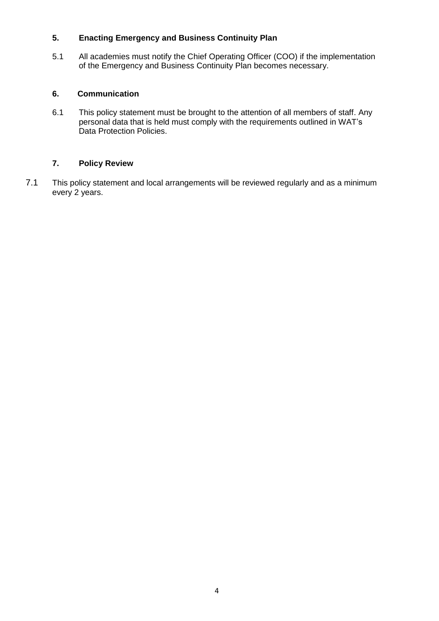### **5. Enacting Emergency and Business Continuity Plan**

5.1 All academies must notify the Chief Operating Officer (COO) if the implementation of the Emergency and Business Continuity Plan becomes necessary.

### **6. Communication**

6.1 This policy statement must be brought to the attention of all members of staff. Any personal data that is held must comply with the requirements outlined in WAT's Data Protection Policies.

### **7. Policy Review**

7.1 This policy statement and local arrangements will be reviewed regularly and as a minimum every 2 years.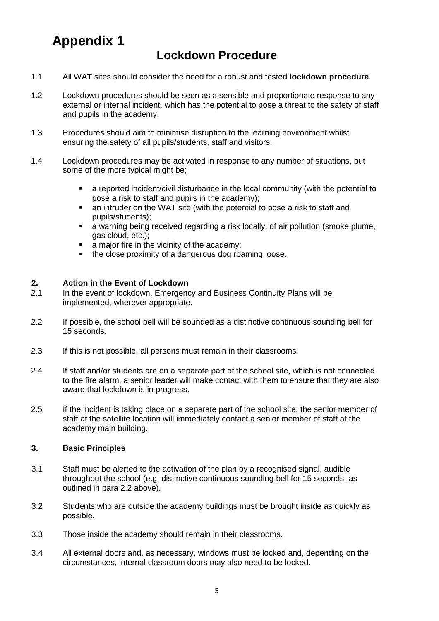## **Appendix 1**

### **Lockdown Procedure**

- 1.1 All WAT sites should consider the need for a robust and tested **lockdown procedure**.
- 1.2 Lockdown procedures should be seen as a sensible and proportionate response to any external or internal incident, which has the potential to pose a threat to the safety of staff and pupils in the academy.
- 1.3 Procedures should aim to minimise disruption to the learning environment whilst ensuring the safety of all pupils/students, staff and visitors.
- 1.4 Lockdown procedures may be activated in response to any number of situations, but some of the more typical might be;
	- a reported incident/civil disturbance in the local community (with the potential to pose a risk to staff and pupils in the academy);
	- an intruder on the WAT site (with the potential to pose a risk to staff and pupils/students);
	- a warning being received regarding a risk locally, of air pollution (smoke plume, gas cloud, etc.);
	- a major fire in the vicinity of the academy;
	- the close proximity of a dangerous dog roaming loose.

### **2. Action in the Event of Lockdown**

- 2.1 In the event of lockdown, Emergency and Business Continuity Plans will be implemented, wherever appropriate.
- 2.2 If possible, the school bell will be sounded as a distinctive continuous sounding bell for 15 seconds.
- 2.3 If this is not possible, all persons must remain in their classrooms.
- 2.4 If staff and/or students are on a separate part of the school site, which is not connected to the fire alarm, a senior leader will make contact with them to ensure that they are also aware that lockdown is in progress.
- 2.5 If the incident is taking place on a separate part of the school site, the senior member of staff at the satellite location will immediately contact a senior member of staff at the academy main building.

### **3. Basic Principles**

- 3.1 Staff must be alerted to the activation of the plan by a recognised signal, audible throughout the school (e.g. distinctive continuous sounding bell for 15 seconds, as outlined in para 2.2 above).
- 3.2 Students who are outside the academy buildings must be brought inside as quickly as possible.
- 3.3 Those inside the academy should remain in their classrooms.
- 3.4 All external doors and, as necessary, windows must be locked and, depending on the circumstances, internal classroom doors may also need to be locked.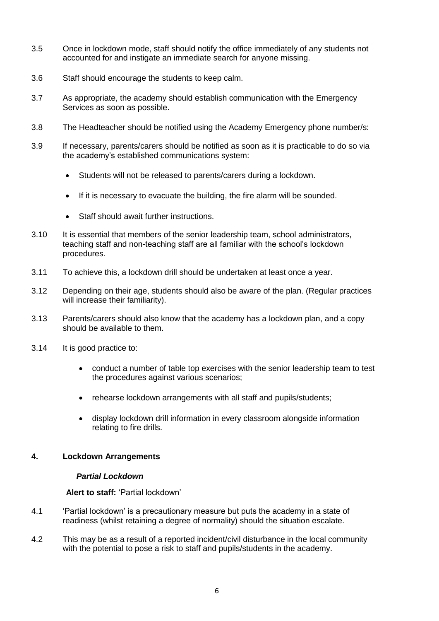- 3.5 Once in lockdown mode, staff should notify the office immediately of any students not accounted for and instigate an immediate search for anyone missing.
- 3.6 Staff should encourage the students to keep calm.
- 3.7 As appropriate, the academy should establish communication with the Emergency Services as soon as possible.
- 3.8 The Headteacher should be notified using the Academy Emergency phone number/s:
- 3.9 If necessary, parents/carers should be notified as soon as it is practicable to do so via the academy's established communications system:
	- Students will not be released to parents/carers during a lockdown.
	- If it is necessary to evacuate the building, the fire alarm will be sounded.
	- Staff should await further instructions.
- 3.10 It is essential that members of the senior leadership team, school administrators, teaching staff and non-teaching staff are all familiar with the school's lockdown procedures.
- 3.11 To achieve this, a lockdown drill should be undertaken at least once a year.
- 3.12 Depending on their age, students should also be aware of the plan. (Regular practices will increase their familiarity).
- 3.13 Parents/carers should also know that the academy has a lockdown plan, and a copy should be available to them.
- 3.14 It is good practice to:
	- conduct a number of table top exercises with the senior leadership team to test the procedures against various scenarios;
	- rehearse lockdown arrangements with all staff and pupils/students;
	- display lockdown drill information in every classroom alongside information relating to fire drills.

### **4. Lockdown Arrangements**

### *Partial Lockdown*

 **Alert to staff:** 'Partial lockdown'

- 4.1 'Partial lockdown' is a precautionary measure but puts the academy in a state of readiness (whilst retaining a degree of normality) should the situation escalate.
- 4.2 This may be as a result of a reported incident/civil disturbance in the local community with the potential to pose a risk to staff and pupils/students in the academy.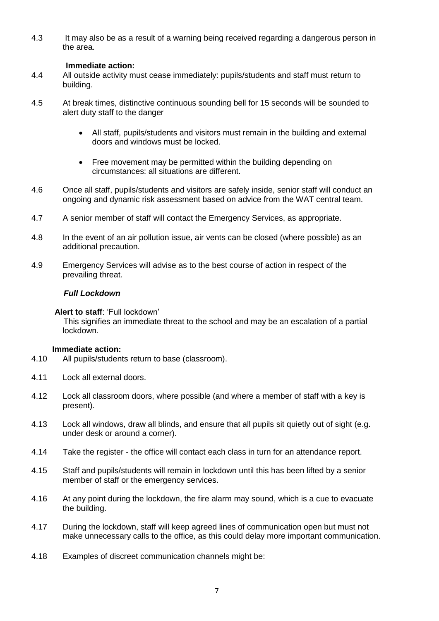4.3 It may also be as a result of a warning being received regarding a dangerous person in the area.

### **Immediate action:**

- 4.4 All outside activity must cease immediately: pupils/students and staff must return to building.
- 4.5 At break times, distinctive continuous sounding bell for 15 seconds will be sounded to alert duty staff to the danger
	- All staff, pupils/students and visitors must remain in the building and external doors and windows must be locked.
	- Free movement may be permitted within the building depending on circumstances: all situations are different.
- 4.6 Once all staff, pupils/students and visitors are safely inside, senior staff will conduct an ongoing and dynamic risk assessment based on advice from the WAT central team.
- 4.7 A senior member of staff will contact the Emergency Services, as appropriate.
- 4.8 In the event of an air pollution issue, air vents can be closed (where possible) as an additional precaution.
- 4.9 Emergency Services will advise as to the best course of action in respect of the prevailing threat.

### *Full Lockdown*

**Alert to staff**: 'Full lockdown'

 This signifies an immediate threat to the school and may be an escalation of a partial lockdown.

### **Immediate action:**

- 4.10 All pupils/students return to base (classroom).
- 4.11 Lock all external doors.
- 4.12 Lock all classroom doors, where possible (and where a member of staff with a key is present).
- 4.13 Lock all windows, draw all blinds, and ensure that all pupils sit quietly out of sight (e.g. under desk or around a corner).
- 4.14 Take the register the office will contact each class in turn for an attendance report.
- 4.15 Staff and pupils/students will remain in lockdown until this has been lifted by a senior member of staff or the emergency services.
- 4.16 At any point during the lockdown, the fire alarm may sound, which is a cue to evacuate the building.
- 4.17 During the lockdown, staff will keep agreed lines of communication open but must not make unnecessary calls to the office, as this could delay more important communication.
- 4.18 Examples of discreet communication channels might be: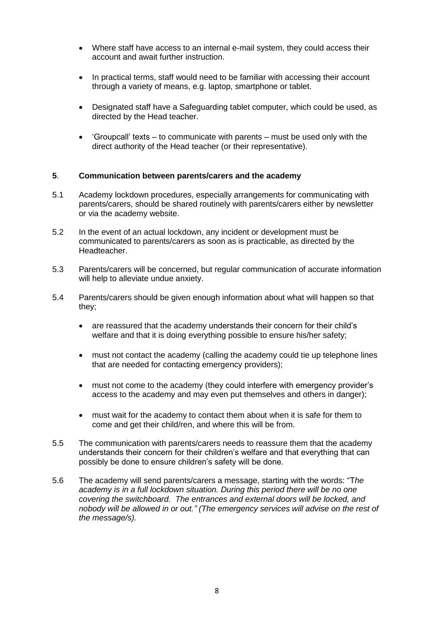- Where staff have access to an internal e-mail system, they could access their account and await further instruction.
- In practical terms, staff would need to be familiar with accessing their account through a variety of means, e.g. laptop, smartphone or tablet.
- Designated staff have a Safeguarding tablet computer, which could be used, as directed by the Head teacher.
- $\bullet$  'Groupcall' texts to communicate with parents must be used only with the direct authority of the Head teacher (or their representative).

### **5**. **Communication between parents/carers and the academy**

- 5.1 Academy lockdown procedures, especially arrangements for communicating with parents/carers, should be shared routinely with parents/carers either by newsletter or via the academy website.
- 5.2 In the event of an actual lockdown, any incident or development must be communicated to parents/carers as soon as is practicable, as directed by the Headteacher.
- 5.3 Parents/carers will be concerned, but regular communication of accurate information will help to alleviate undue anxiety.
- 5.4 Parents/carers should be given enough information about what will happen so that they;
	- are reassured that the academy understands their concern for their child's welfare and that it is doing everything possible to ensure his/her safety;
	- must not contact the academy (calling the academy could tie up telephone lines that are needed for contacting emergency providers);
	- must not come to the academy (they could interfere with emergency provider's access to the academy and may even put themselves and others in danger);
	- must wait for the academy to contact them about when it is safe for them to come and get their child/ren, and where this will be from.
- 5.5 The communication with parents/carers needs to reassure them that the academy understands their concern for their children's welfare and that everything that can possibly be done to ensure children's safety will be done*.*
- 5.6 The academy will send parents/carers a message, starting with the words: "T*he academy is in a full lockdown situation. During this period there will be no one covering the switchboard. The entrances and external doors will be locked, and nobody will be allowed in or out." (The emergency services will advise on the rest of the message/s).*